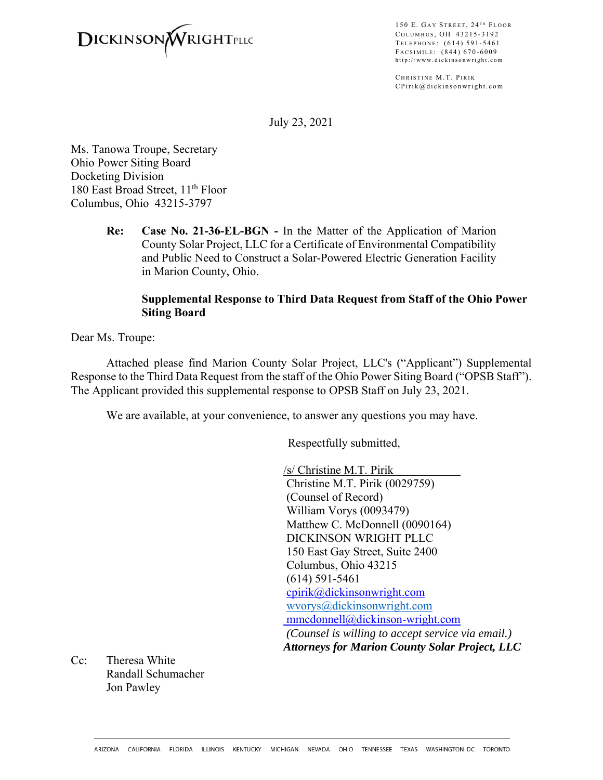

150 E. GAY STREET, 24<sup>TH</sup> FLOOR COLUMBUS, OH 43215-3192 TELEPHONE: (614) 591-5461 F ACSIMILE : (844) 670-6009 http://www.dickinsonwright.com

CHRISTINE M.T. PIRIK CPirik@dickinsonwright.com

July 23, 2021

Ms. Tanowa Troupe, Secretary Ohio Power Siting Board Docketing Division 180 East Broad Street, 11<sup>th</sup> Floor Columbus, Ohio 43215-3797

> **Re: Case No. 21-36-EL-BGN -** In the Matter of the Application of Marion County Solar Project, LLC for a Certificate of Environmental Compatibility and Public Need to Construct a Solar-Powered Electric Generation Facility in Marion County, Ohio.

## **Supplemental Response to Third Data Request from Staff of the Ohio Power Siting Board**

Dear Ms. Troupe:

Attached please find Marion County Solar Project, LLC's ("Applicant") Supplemental Response to the Third Data Request from the staff of the Ohio Power Siting Board ("OPSB Staff"). The Applicant provided this supplemental response to OPSB Staff on July 23, 2021.

We are available, at your convenience, to answer any questions you may have.

Respectfully submitted,

/s/ Christine M.T. Pirik Christine M.T. Pirik (0029759) (Counsel of Record) William Vorys (0093479) Matthew C. McDonnell (0090164) DICKINSON WRIGHT PLLC 150 East Gay Street, Suite 2400 Columbus, Ohio 43215 (614) 591-5461 cpirik@dickinsonwright.com wvorys@dickinsonwright.com mmcdonnell@dickinson-wright.com  *(Counsel is willing to accept service via email.) Attorneys for Marion County Solar Project, LLC*

Cc: Theresa White Randall Schumacher Jon Pawley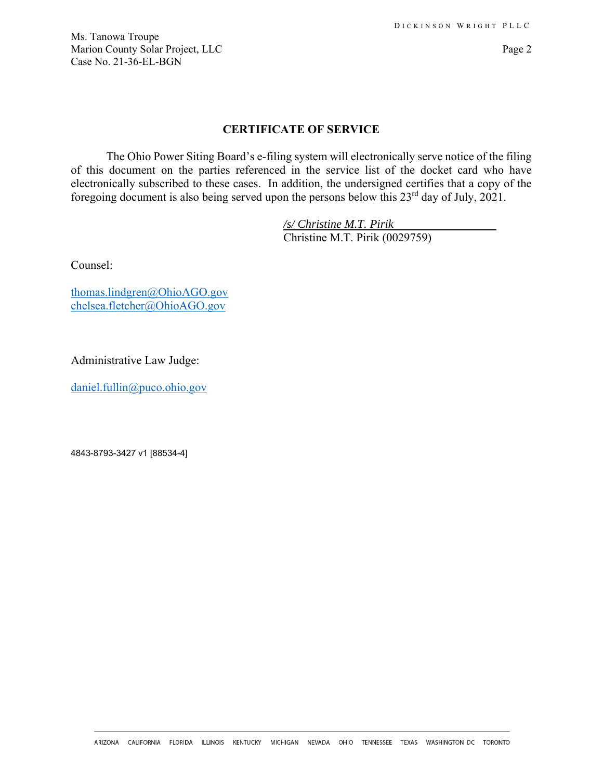Ms. Tanowa Troupe Marion County Solar Project, LLC Page 2 Case No. 21-36-EL-BGN

## **CERTIFICATE OF SERVICE**

The Ohio Power Siting Board's e-filing system will electronically serve notice of the filing of this document on the parties referenced in the service list of the docket card who have electronically subscribed to these cases. In addition, the undersigned certifies that a copy of the foregoing document is also being served upon the persons below this 23rd day of July, 2021.

> */s/ Christine M.T. Pirik*  Christine M.T. Pirik (0029759)

Counsel:

thomas.lindgren@OhioAGO.gov chelsea.fletcher@OhioAGO.gov

Administrative Law Judge:

daniel.fullin@puco.ohio.gov

4843-8793-3427 v1 [88534-4]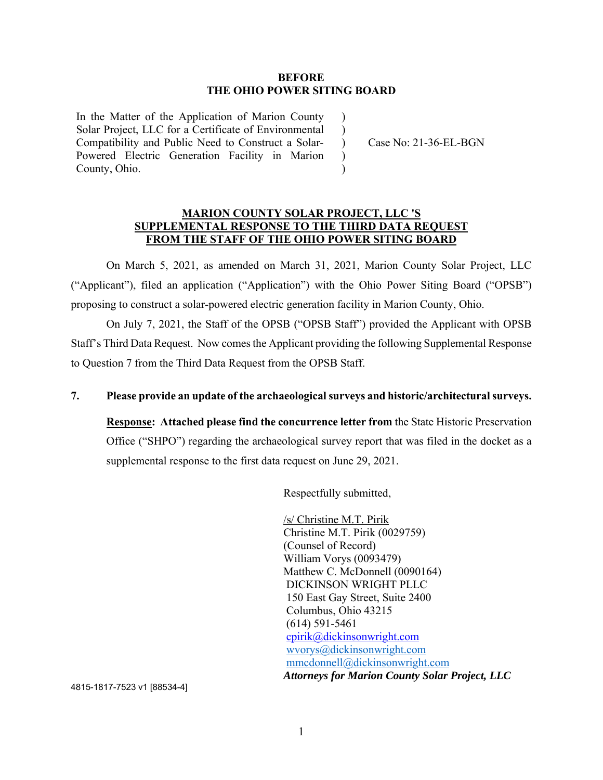### **BEFORE THE OHIO POWER SITING BOARD**

 $\lambda$  $\mathcal{L}$ 

)  $\lambda$ 

In the Matter of the Application of Marion County Solar Project, LLC for a Certificate of Environmental Compatibility and Public Need to Construct a Solar-Powered Electric Generation Facility in Marion County, Ohio.

) Case No: 21-36-EL-BGN

### **MARION COUNTY SOLAR PROJECT, LLC 'S SUPPLEMENTAL RESPONSE TO THE THIRD DATA REQUEST FROM THE STAFF OF THE OHIO POWER SITING BOARD**

 On March 5, 2021, as amended on March 31, 2021, Marion County Solar Project, LLC ("Applicant"), filed an application ("Application") with the Ohio Power Siting Board ("OPSB") proposing to construct a solar-powered electric generation facility in Marion County, Ohio.

 On July 7, 2021, the Staff of the OPSB ("OPSB Staff") provided the Applicant with OPSB Staff's Third Data Request. Now comes the Applicant providing the following Supplemental Response to Question 7 from the Third Data Request from the OPSB Staff.

# **7. Please provide an update of the archaeological surveys and historic/architectural surveys.**

**Response: Attached please find the concurrence letter from** the State Historic Preservation Office ("SHPO") regarding the archaeological survey report that was filed in the docket as a supplemental response to the first data request on June 29, 2021.

Respectfully submitted,

/s/ Christine M.T. Pirik Christine M.T. Pirik (0029759) (Counsel of Record) William Vorys (0093479) Matthew C. McDonnell (0090164) DICKINSON WRIGHT PLLC 150 East Gay Street, Suite 2400 Columbus, Ohio 43215 (614) 591-5461 cpirik@dickinsonwright.com wvorys@dickinsonwright.com mmcdonnell@dickinsonwright.com *Attorneys for Marion County Solar Project, LLC* 

4815-1817-7523 v1 [88534-4]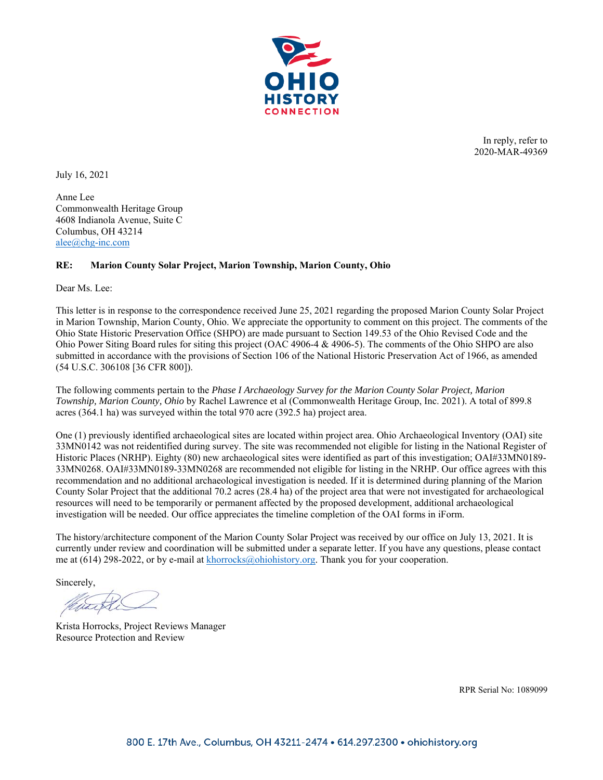

In reply, refer to 2020-MAR-49369

July 16, 2021

Anne Lee Commonwealth Heritage Group 4608 Indianola Avenue, Suite C Columbus, OH 43214 alee@chg-inc.com

#### **RE: Marion County Solar Project, Marion Township, Marion County, Ohio**

Dear Ms. Lee:

This letter is in response to the correspondence received June 25, 2021 regarding the proposed Marion County Solar Project in Marion Township, Marion County, Ohio. We appreciate the opportunity to comment on this project. The comments of the Ohio State Historic Preservation Office (SHPO) are made pursuant to Section 149.53 of the Ohio Revised Code and the Ohio Power Siting Board rules for siting this project (OAC 4906-4 & 4906-5). The comments of the Ohio SHPO are also submitted in accordance with the provisions of Section 106 of the National Historic Preservation Act of 1966, as amended (54 U.S.C. 306108 [36 CFR 800]).

The following comments pertain to the *Phase I Archaeology Survey for the Marion County Solar Project, Marion Township, Marion County, Ohio* by Rachel Lawrence et al (Commonwealth Heritage Group, Inc. 2021). A total of 899.8 acres (364.1 ha) was surveyed within the total 970 acre (392.5 ha) project area.

One (1) previously identified archaeological sites are located within project area. Ohio Archaeological Inventory (OAI) site 33MN0142 was not reidentified during survey. The site was recommended not eligible for listing in the National Register of Historic Places (NRHP). Eighty (80) new archaeological sites were identified as part of this investigation; OAI#33MN0189- 33MN0268. OAI#33MN0189-33MN0268 are recommended not eligible for listing in the NRHP. Our office agrees with this recommendation and no additional archaeological investigation is needed. If it is determined during planning of the Marion County Solar Project that the additional 70.2 acres (28.4 ha) of the project area that were not investigated for archaeological resources will need to be temporarily or permanent affected by the proposed development, additional archaeological investigation will be needed. Our office appreciates the timeline completion of the OAI forms in iForm.

The history/architecture component of the Marion County Solar Project was received by our office on July 13, 2021. It is currently under review and coordination will be submitted under a separate letter. If you have any questions, please contact me at (614) 298-2022, or by e-mail at khorrocks@ohiohistory.org. Thank you for your cooperation.

Sincerely,

Krista Horrocks, Project Reviews Manager Resource Protection and Review

RPR Serial No: 1089099